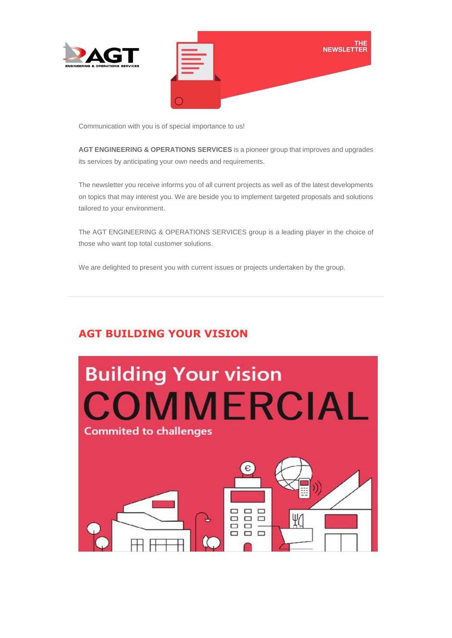



Communication with you is of special importance to us!

**AGT ENGINEERING & OPERATIONS SERVICES** is a pioneer group that improves and upgrades its services by anticipating your own needs and requirements.

The newsletter you receive informs you of all current projects as well as of the latest developments on topics that may interest you. We are beside you to implement targeted proposals and solutions tailored to your environment.

The AGT ENGINEERING & OPERATIONS SERVICES group is a leading player in the choice of those who want top total customer solutions.

We are delighted to present you with current issues or projects undertaken by the group.

## **AGT BUILDING YOUR VISION**

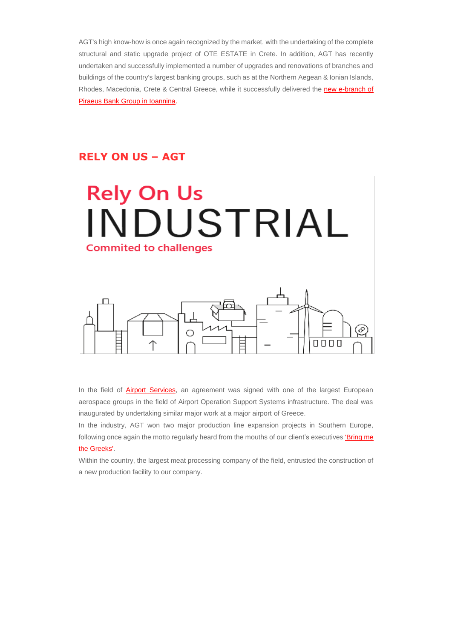AGT's high know-how is once again recognized by the market, with the undertaking of the complete structural and static upgrade project of OTE ESTATE in Crete. In addition, AGT has recently undertaken and successfully implemented a number of upgrades and renovations of branches and buildings of the country's largest banking groups, such as at the Northern Aegean & Ionian Islands, Rhodes, Macedonia, Crete & Central Greece, while it successfully delivered the [new e-branch of](https://us20.mailchimp.com/mctx/click?url=https%3A%2F%2Fwww.capital.gr%2Fepixeiriseis%2F3374446%2Ftrapeza-peiraios-neo-e-branch-sto-kentro-ton-ioanninon&xid=94ce36f1e7&uid=115491798&pool=&subject=)  [Piraeus Bank Group in Ioannina.](https://us20.mailchimp.com/mctx/click?url=https%3A%2F%2Fwww.capital.gr%2Fepixeiriseis%2F3374446%2Ftrapeza-peiraios-neo-e-branch-sto-kentro-ton-ioanninon&xid=94ce36f1e7&uid=115491798&pool=&subject=)

#### **RELY ON US – AGT**

# **Rely On Us** INDUSTRIAL **Commited to challenges**



In the field of **Airport Services**, an agreement was signed with one of the largest European aerospace groups in the field of Airport Operation Support Systems infrastructure. The deal was inaugurated by undertaking similar major work at a major airport of Greece.

In the industry, AGT won two major production line expansion projects in Southern Europe, following once again the motto regularly heard from the mouths of our client's executives 'Bring me [the Greeks'.](https://www.agtgroup.gr/tomeis/industrial-engineering/)

Within the country, the largest meat processing company of the field, entrusted the construction of a new production facility to our company.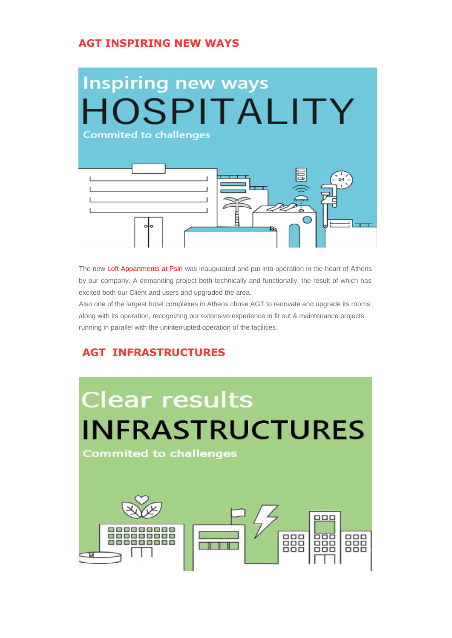#### **AGT INSPIRING NEW WAYS**



The new [Loft Appartments at Psiri](https://us20.mailchimp.com/mctx/click?url=https%3A%2F%2Fwww.booking.com%2Fhotel%2Fgr%2Fdowntown-athens-lofts.el.html&xid=94ce36f1e7&uid=115491798&pool=&subject=) was inaugurated and put into operation in the heart of Athens by our company. A demanding project both technically and functionally, the result of which has excited both our Client and users and upgraded the area.

Also one of the largest hotel complexes in Athens chose AGT to renovate and upgrade its rooms along with its operation, recognizing our extensive experience in fit out & maintenance projects running in parallel with the uninterrupted operation of the facilities.

### **AGT INFRASTRUCTURES**